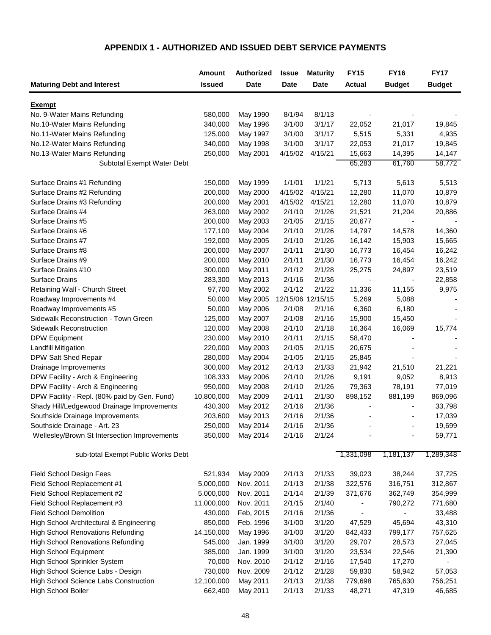## **APPENDIX 1 - AUTHORIZED AND ISSUED DEBT SERVICE PAYMENTS**

|                                              | <b>Amount</b> | <b>Authorized</b> | <b>Issue</b>      | <b>Maturity</b> | <b>FY15</b>              | <b>FY16</b>              | <b>FY17</b>      |
|----------------------------------------------|---------------|-------------------|-------------------|-----------------|--------------------------|--------------------------|------------------|
| <b>Maturing Debt and Interest</b>            | <b>Issued</b> | <b>Date</b>       | Date              | <b>Date</b>     | <b>Actual</b>            | <b>Budget</b>            | <b>Budget</b>    |
|                                              |               |                   |                   |                 |                          |                          |                  |
| Exempt                                       |               |                   |                   |                 |                          |                          |                  |
| No. 9-Water Mains Refunding                  | 580,000       | May 1990          | 8/1/94            | 8/1/13          |                          |                          |                  |
| No.10-Water Mains Refunding                  | 340,000       | May 1996          | 3/1/00            | 3/1/17          | 22,052                   | 21,017                   | 19,845           |
| No.11-Water Mains Refunding                  | 125,000       | May 1997          | 3/1/00<br>3/1/00  | 3/1/17          | 5,515                    | 5,331                    | 4,935            |
| No.12-Water Mains Refunding                  | 340,000       | May 1998          |                   | 3/1/17          | 22,053                   | 21,017                   | 19,845           |
| No.13-Water Mains Refunding                  | 250,000       | May 2001          | 4/15/02           | 4/15/21         | 15,663<br>65,283         | 14,395                   | 14,147<br>58,772 |
| Subtotal Exempt Water Debt                   |               |                   |                   |                 |                          | 61,760                   |                  |
| Surface Drains #1 Refunding                  | 150,000       | May 1999          | 1/1/01            | 1/1/21          | 5,713                    | 5,613                    | 5,513            |
| Surface Drains #2 Refunding                  | 200,000       | May 2000          | 4/15/02           | 4/15/21         | 12,280                   | 11,070                   | 10,879           |
| Surface Drains #3 Refunding                  | 200,000       | May 2001          | 4/15/02           | 4/15/21         | 12,280                   | 11,070                   | 10,879           |
| Surface Drains #4                            | 263,000       | May 2002          | 2/1/10            | 2/1/26          | 21,521                   | 21,204                   | 20,886           |
| Surface Drains #5                            | 200,000       | May 2003          | 2/1/05            | 2/1/15          | 20,677                   |                          |                  |
| Surface Drains #6                            | 177,100       | May 2004          | 2/1/10            | 2/1/26          | 14,797                   | 14,578                   | 14,360           |
| Surface Drains #7                            | 192,000       | May 2005          | 2/1/10            | 2/1/26          | 16,142                   | 15,903                   | 15,665           |
| Surface Drains #8                            | 200,000       | May 2007          | 2/1/11            | 2/1/30          | 16,773                   | 16,454                   | 16,242           |
| Surface Drains #9                            | 200,000       | May 2010          | 2/1/11            | 2/1/30          | 16,773                   | 16,454                   | 16,242           |
| Surface Drains #10                           | 300,000       | May 2011          | 2/1/12            | 2/1/28          | 25,275                   | 24,897                   | 23,519           |
| <b>Surface Drains</b>                        | 283,300       | May 2013          | 2/1/16            | 2/1/36          | $\overline{\phantom{a}}$ | $\overline{\phantom{a}}$ | 22,858           |
| Retaining Wall - Church Street               | 97,700        | May 2002          | 2/1/12            | 2/1/22          | 11,336                   | 11,155                   | 9,975            |
| Roadway Improvements #4                      | 50,000        | May 2005          | 12/15/06 12/15/15 |                 | 5,269                    | 5,088                    |                  |
| Roadway Improvements #5                      | 50,000        | May 2006          | 2/1/08            | 2/1/16          | 6,360                    | 6,180                    |                  |
| Sidewalk Reconstruction - Town Green         | 125,000       | May 2007          | 2/1/08            | 2/1/16          | 15,900                   | 15,450                   |                  |
| Sidewalk Reconstruction                      | 120,000       | May 2008          | 2/1/10            | 2/1/18          | 16,364                   | 16,069                   | 15,774           |
| <b>DPW Equipment</b>                         | 230,000       | May 2010          | 2/1/11            | 2/1/15          | 58,470                   | $\overline{\phantom{a}}$ |                  |
| <b>Landfill Mitigation</b>                   | 220,000       | May 2003          | 2/1/05            | 2/1/15          | 20,675                   |                          |                  |
| DPW Salt Shed Repair                         | 280,000       | May 2004          | 2/1/05            | 2/1/15          | 25,845                   |                          |                  |
| Drainage Improvements                        | 300,000       | May 2012          | 2/1/13            | 2/1/33          | 21,942                   | 21,510                   | 21,221           |
| DPW Facility - Arch & Engineering            | 108,333       | May 2006          | 2/1/10            | 2/1/26          | 9,191                    | 9,052                    | 8,913            |
| DPW Facility - Arch & Engineering            | 950,000       | May 2008          | 2/1/10            | 2/1/26          | 79,363                   | 78,191                   | 77,019           |
| DPW Facility - Repl. (80% paid by Gen. Fund) | 10,800,000    | May 2009          | 2/1/11            | 2/1/30          | 898,152                  | 881,199                  | 869,096          |
| Shady Hill/Ledgewood Drainage Improvements   | 430,300       | May 2012          | 2/1/16            | 2/1/36          | $\overline{\phantom{a}}$ |                          | 33,798           |
| Southside Drainage Improvements              | 203,600       | May 2013          | 2/1/16            | 2/1/36          |                          |                          | 17,039           |
| Southside Drainage - Art. 23                 | 250,000       | May 2014          | 2/1/16            | 2/1/36          |                          |                          | 19,699           |
| Wellesley/Brown St Intersection Improvements | 350,000       | May 2014          | 2/1/16            | 2/1/24          |                          |                          | 59,771           |
| sub-total Exempt Public Works Debt           |               |                   |                   |                 | 1,331,098                | 1,181,137                | 1,289,348        |
| Field School Design Fees                     | 521,934       | May 2009          | 2/1/13            | 2/1/33          | 39,023                   | 38,244                   | 37,725           |
| Field School Replacement #1                  | 5,000,000     | Nov. 2011         | 2/1/13            | 2/1/38          | 322,576                  | 316,751                  | 312,867          |
| Field School Replacement #2                  | 5,000,000     | Nov. 2011         | 2/1/14            | 2/1/39          | 371,676                  | 362,749                  | 354,999          |
| Field School Replacement #3                  | 11,000,000    | Nov. 2011         | 2/1/15            | 2/1/40          |                          | 790,272                  | 771,680          |
| <b>Field School Demolition</b>               | 430,000       | Feb, 2015         | 2/1/16            | 2/1/36          |                          |                          | 33,488           |
| High School Architectural & Engineering      | 850,000       | Feb. 1996         | 3/1/00            | 3/1/20          | 47,529                   | 45,694                   | 43,310           |
| <b>High School Renovations Refunding</b>     | 14,150,000    | May 1996          | 3/1/00            | 3/1/20          | 842,433                  | 799,177                  | 757,625          |
| <b>High School Renovations Refunding</b>     | 545,000       | Jan. 1999         | 3/1/00            | 3/1/20          | 29,707                   | 28,573                   | 27,045           |
| <b>High School Equipment</b>                 | 385,000       | Jan. 1999         | 3/1/00            | 3/1/20          | 23,534                   | 22,546                   | 21,390           |
| High School Sprinkler System                 | 70,000        | Nov. 2010         | 2/1/12            | 2/1/16          | 17,540                   | 17,270                   |                  |
| High School Science Labs - Design            | 730,000       | Nov. 2009         | 2/1/12            | 2/1/28          | 59,830                   | 58,942                   | 57,053           |
| High School Science Labs Construction        | 12,100,000    | May 2011          | 2/1/13            | 2/1/38          | 779,698                  | 765,630                  | 756,251          |
| High School Boiler                           | 662,400       | May 2011          | 2/1/13            | 2/1/33          | 48,271                   | 47,319                   | 46,685           |
|                                              |               |                   |                   |                 |                          |                          |                  |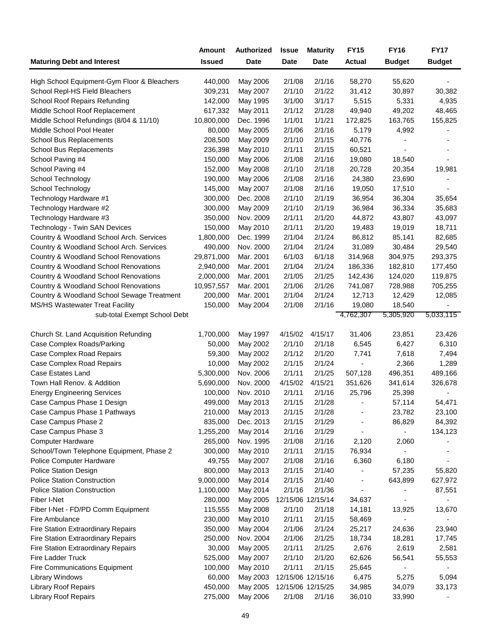|                                             | <b>Amount</b>          | <b>Authorized</b> | <b>Issue</b>      | <b>Maturity</b>   | <b>FY15</b>   | <b>FY16</b>              | <b>FY17</b>   |
|---------------------------------------------|------------------------|-------------------|-------------------|-------------------|---------------|--------------------------|---------------|
| <b>Maturing Debt and Interest</b>           | <b>Issued</b>          | Date              | <b>Date</b>       | Date              | <b>Actual</b> | <b>Budget</b>            | <b>Budget</b> |
| High School Equipment-Gym Floor & Bleachers | 440,000                | May 2006          | 2/1/08            | 2/1/16            | 58,270        | 55,620                   |               |
| School Repl-HS Field Bleachers              | 309,231                | May 2007          | 2/1/10            | 2/1/22            | 31,412        | 30,897                   | 30,382        |
| School Roof Repairs Refunding               | 142,000                | May 1995          | 3/1/00            | 3/1/17            | 5,515         | 5,331                    | 4,935         |
| Middle School Roof Replacement              | 617,332                | May 2011          | 2/1/12            | 2/1/28            | 49,940        | 49,202                   | 48,465        |
| Middle School Refundings (8/04 & 11/10)     | 10,800,000             | Dec. 1996         | 1/1/01            | 1/1/21            | 172,825       | 163,765                  | 155,825       |
| Middle School Pool Heater                   | 80,000                 | May 2005          | 2/1/06            | 2/1/16            | 5,179         | 4,992                    |               |
| School Bus Replacements                     | 208,500                | May 2009          | 2/1/10            | 2/1/15            | 40,776        |                          |               |
| School Bus Replacements                     | 236,398                | May 2010          | 2/1/11            | 2/1/15            | 60,521        | $\overline{\phantom{a}}$ |               |
| School Paving #4                            | 150,000                | May 2006          | 2/1/08            | 2/1/16            | 19,080        | 18,540                   |               |
| School Paving #4                            | 152,000                | May 2008          | 2/1/10            | 2/1/18            | 20,728        | 20,354                   | 19,981        |
| School Technology                           | 190,000                | May 2006          | 2/1/08            | 2/1/16            | 24,380        | 23,690                   |               |
| School Technology                           | 145,000                | May 2007          | 2/1/08            | 2/1/16            | 19,050        | 17,510                   |               |
| Technology Hardware #1                      | 300,000                | Dec. 2008         | 2/1/10            | 2/1/19            | 36,954        | 36,304                   | 35,654        |
| Technology Hardware #2                      | 300,000                | May 2009          | 2/1/10            | 2/1/19            | 36,984        | 36,334                   | 35,683        |
| Technology Hardware #3                      | 350,000                | Nov. 2009         | 2/1/11            | 2/1/20            | 44,872        | 43,807                   | 43,097        |
| Technology - Twin SAN Devices               | 150,000                | May 2010          | 2/1/11            | 2/1/20            | 19,483        | 19,019                   | 18,711        |
| Country & Woodland School Arch. Services    | 1,800,000              | Dec. 1999         | 2/1/04            | 2/1/24            | 86,812        | 85,141                   | 82,685        |
| Country & Woodland School Arch. Services    | 490,000                | Nov. 2000         | 2/1/04            | 2/1/24            | 31,089        | 30,484                   | 29,540        |
| Country & Woodland School Renovations       | 29,871,000             | Mar. 2001         | 6/1/03            | 6/1/18            | 314,968       | 304,975                  | 293,375       |
| Country & Woodland School Renovations       |                        | Mar. 2001         | 2/1/04            | 2/1/24            | 186,336       | 182,810                  |               |
|                                             | 2,940,000<br>2,000,000 |                   |                   |                   |               |                          | 177,450       |
| Country & Woodland School Renovations       |                        | Mar. 2001         | 2/1/05            | 2/1/25            | 142,436       | 124,020                  | 119,875       |
| Country & Woodland School Renovations       | 10,957,557             | Mar. 2001         | 2/1/06            | 2/1/26            | 741,087       | 728,988                  | 705,255       |
| Country & Woodland School Sewage Treatment  | 200,000                | Mar. 2001         | 2/1/04            | 2/1/24            | 12,713        | 12,429                   | 12,085        |
| <b>MS/HS Wastewater Treat Facility</b>      | 150,000                | May 2004          | 2/1/08            | 2/1/16            | 19,080        | 18,540                   |               |
| sub-total Exempt School Debt                |                        |                   |                   |                   | 4,762,307     | 5,305,920                | 5,033,115     |
| Church St. Land Acquisition Refunding       | 1,700,000              | May 1997          | 4/15/02           | 4/15/17           | 31,406        | 23,851                   | 23,426        |
| Case Complex Roads/Parking                  | 50,000                 | May 2002          | 2/1/10            | 2/1/18            | 6,545         | 6,427                    | 6,310         |
| Case Complex Road Repairs                   | 59,300                 | May 2002          | 2/1/12            | 2/1/20            | 7,741         | 7,618                    | 7,494         |
| Case Complex Road Repairs                   | 10,000                 | May 2002          | 2/1/15            | 2/1/24            |               | 2,366                    | 1,289         |
| Case Estates Land                           | 5,300,000              | Nov. 2006         | 2/1/11            | 2/1/25            | 507,128       | 496,351                  | 489,166       |
| Town Hall Renov. & Addition                 | 5,690,000              | Nov. 2000         | 4/15/02           | 4/15/21           | 351,626       | 341,614                  | 326,678       |
| <b>Energy Engineering Services</b>          | 100,000                | Nov. 2010         | 2/1/11            | 2/1/16            | 25,796        | 25,398                   |               |
| Case Campus Phase 1 Design                  | 499,000                | May 2013          | 2/1/15            | 2/1/28            |               | 57,114                   | 54,471        |
| Case Campus Phase 1 Pathways                | 210,000                | May 2013          | 2/1/15            | 2/1/28            | ٠             | 23,782                   | 23,100        |
| Case Campus Phase 2                         | 835,000                | Dec. 2013         | 2/1/15            | 2/1/29            |               | 86,829                   | 84,392        |
| Case Campus Phase 3                         | 1,255,200              | May 2014          | 2/1/16            | 2/1/29            |               |                          | 134,123       |
| <b>Computer Hardware</b>                    | 265,000                | Nov. 1995         | 2/1/08            | 2/1/16            | 2,120         | 2,060                    |               |
| School/Town Telephone Equipment, Phase 2    | 300,000                | May 2010          | 2/1/11            | 2/1/15            | 76,934        |                          |               |
| Police Computer Hardware                    | 49,755                 | May 2007          | 2/1/08            | 2/1/16            | 6,360         | 6,180                    |               |
| <b>Police Station Design</b>                | 800,000                | May 2013          | 2/1/15            | 2/1/40            |               | 57,235                   | 55,820        |
| <b>Police Station Construction</b>          | 9,000,000              | May 2014          | 2/1/15            | 2/1/40            | ٠             | 643,899                  | 627,972       |
| <b>Police Station Construction</b>          | 1,100,000              | May 2014          | 2/1/16            | 2/1/36            |               |                          | 87,551        |
| Fiber I-Net                                 | 280,000                | May 2005          |                   | 12/15/06 12/15/14 | 34,637        | ٠                        |               |
| Fiber I-Net - FD/PD Comm Equipment          | 115,555                | May 2008          | 2/1/10            | 2/1/18            | 14,181        | 13,925                   | 13,670        |
| Fire Ambulance                              | 230,000                | May 2010          | 2/1/11            | 2/1/15            | 58,469        |                          |               |
| Fire Station Extraordinary Repairs          | 350,000                | May 2004          | 2/1/06            | 2/1/24            | 25,217        | 24,636                   | 23,940        |
| Fire Station Extraordinary Repairs          | 250,000                | Nov. 2004         | 2/1/06            | 2/1/25            | 18,734        | 18,281                   | 17,745        |
| Fire Station Extraordinary Repairs          | 30,000                 | May 2005          | 2/1/11            | 2/1/25            | 2,676         | 2,619                    | 2,581         |
| Fire Ladder Truck                           | 525,000                | May 2007          | 2/1/10            | 2/1/20            | 62,626        | 56,541                   | 55,553        |
| <b>Fire Communications Equipment</b>        | 100,000                | May 2010          | 2/1/11            | 2/1/15            | 25,645        | $\blacksquare$           |               |
|                                             | 60,000                 | May 2003          |                   | 12/15/06 12/15/16 | 6,475         |                          | 5,094         |
| <b>Library Windows</b>                      | 450,000                | May 2005          | 12/15/06 12/15/25 |                   |               | 5,275                    |               |
| Library Roof Repairs                        |                        |                   |                   |                   | 34,985        | 34,079                   | 33,173        |
| <b>Library Roof Repairs</b>                 | 275,000                | May 2006          | 2/1/08            | 2/1/16            | 36,010        | 33,990                   |               |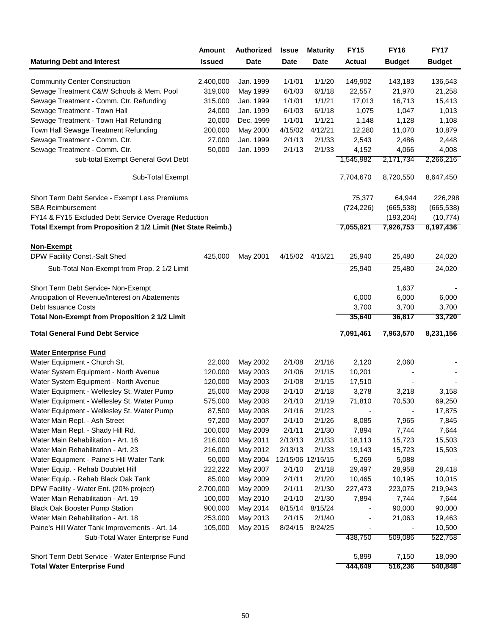|                                                                                       | <b>Amount</b> | <b>Authorized</b> | <b>Issue</b> | <b>Maturity</b>   | <b>FY15</b>      | <b>FY16</b>              | <b>FY17</b>       |
|---------------------------------------------------------------------------------------|---------------|-------------------|--------------|-------------------|------------------|--------------------------|-------------------|
| <b>Maturing Debt and Interest</b>                                                     | <b>Issued</b> | Date              | <b>Date</b>  | <b>Date</b>       | <b>Actual</b>    | <b>Budget</b>            | <b>Budget</b>     |
| <b>Community Center Construction</b>                                                  | 2,400,000     | Jan. 1999         | 1/1/01       | 1/1/20            | 149,902          | 143,183                  | 136,543           |
| Sewage Treatment C&W Schools & Mem. Pool                                              | 319,000       | May 1999          | 6/1/03       | 6/1/18            | 22,557           | 21,970                   | 21,258            |
| Sewage Treatment - Comm. Ctr. Refunding                                               | 315,000       | Jan. 1999         | 1/1/01       | 1/1/21            | 17,013           | 16,713                   | 15,413            |
| Sewage Treatment - Town Hall                                                          | 24,000        | Jan. 1999         | 6/1/03       | 6/1/18            | 1,075            | 1,047                    | 1,013             |
| Sewage Treatment - Town Hall Refunding                                                | 20,000        | Dec. 1999         | 1/1/01       | 1/1/21            | 1,148            | 1,128                    | 1,108             |
| Town Hall Sewage Treatment Refunding                                                  | 200,000       | May 2000          | 4/15/02      | 4/12/21           | 12,280           | 11,070                   | 10,879            |
| Sewage Treatment - Comm. Ctr.                                                         | 27,000        | Jan. 1999         | 2/1/13       | 2/1/33            | 2,543            | 2,486                    | 2,448             |
| Sewage Treatment - Comm. Ctr.                                                         | 50,000        | Jan. 1999         | 2/1/13       | 2/1/33            | 4,152            | 4,066                    | 4,008             |
| sub-total Exempt General Govt Debt                                                    |               |                   |              |                   | 1,545,982        | 2,171,734                | 2,266,216         |
| Sub-Total Exempt                                                                      |               |                   |              |                   | 7,704,670        | 8,720,550                | 8,647,450         |
| Short Term Debt Service - Exempt Less Premiums                                        |               |                   |              |                   | 75,377           | 64,944                   | 226,298           |
| <b>SBA Reimbursement</b>                                                              |               |                   |              |                   | (724, 226)       | (665, 538)               | (665, 538)        |
| FY14 & FY15 Excluded Debt Service Overage Reduction                                   |               |                   |              |                   |                  | (193, 204)               | (10, 774)         |
| Total Exempt from Proposition 2 1/2 Limit (Net State Reimb.)                          |               |                   |              |                   | 7,055,821        | 7,926,753                | 8,197,436         |
| <b>Non-Exempt</b>                                                                     |               |                   |              |                   |                  |                          |                   |
| DPW Facility Const.-Salt Shed                                                         | 425,000       | May 2001          |              | 4/15/02 4/15/21   | 25,940           | 25,480                   | 24,020            |
| Sub-Total Non-Exempt from Prop. 2 1/2 Limit                                           |               |                   |              |                   | 25,940           | 25,480                   | 24,020            |
|                                                                                       |               |                   |              |                   |                  |                          |                   |
| Short Term Debt Service- Non-Exempt                                                   |               |                   |              |                   |                  | 1,637                    |                   |
| Anticipation of Revenue/Interest on Abatements                                        |               |                   |              |                   | 6,000            | 6,000                    | 6,000             |
| Debt Issuance Costs                                                                   |               |                   |              |                   | 3,700            | 3,700                    | 3,700             |
| <b>Total Non-Exempt from Proposition 2 1/2 Limit</b>                                  |               |                   |              |                   | 35,640           | 36,817                   | 33,720            |
| <b>Total General Fund Debt Service</b>                                                |               |                   |              |                   | 7,091,461        | 7,963,570                | 8,231,156         |
| <b>Water Enterprise Fund</b>                                                          |               |                   |              |                   |                  |                          |                   |
| Water Equipment - Church St.                                                          | 22,000        | May 2002          | 2/1/08       | 2/1/16            | 2,120            | 2,060                    |                   |
| Water System Equipment - North Avenue                                                 | 120,000       | May 2003          | 2/1/06       | 2/1/15            | 10,201           |                          |                   |
| Water System Equipment - North Avenue                                                 | 120,000       | May 2003          | 2/1/08       | 2/1/15            | 17,510           |                          |                   |
| Water Equipment - Wellesley St. Water Pump                                            | 25,000        | May 2008          | 2/1/10       | 2/1/18            | 3,278            | 3,218                    | 3,158             |
| Water Equipment - Wellesley St. Water Pump                                            | 575,000       | May 2008          | 2/1/10       | 2/1/19            | 71,810           | 70,530                   | 69,250            |
| Water Equipment - Wellesley St. Water Pump                                            | 87,500        | May 2008          | 2/1/16       | 2/1/23            |                  | $\overline{\phantom{a}}$ | 17,875            |
| Water Main Repl. - Ash Street                                                         | 97,200        | May 2007          | 2/1/10       | 2/1/26            | 8,085            | 7,965                    | 7,845             |
| Water Main Repl. - Shady Hill Rd.                                                     | 100,000       | May 2009          | 2/1/11       | 2/1/30            | 7,894            | 7,744                    | 7,644             |
| Water Main Rehabilitation - Art. 16                                                   | 216,000       | May 2011          | 2/13/13      | 2/1/33            | 18,113           | 15,723                   | 15,503            |
| Water Main Rehabilitation - Art. 23                                                   | 216,000       | May 2012          | 2/13/13      | 2/1/33            | 19,143           | 15,723                   | 15,503            |
| Water Equipment - Paine's Hill Water Tank                                             | 50,000        | May 2004          |              | 12/15/06 12/15/15 | 5,269            | 5,088                    |                   |
| Water Equip. - Rehab Doublet Hill                                                     | 222,222       | May 2007          | 2/1/10       | 2/1/18            | 29,497           | 28,958                   | 28,418            |
| Water Equip. - Rehab Black Oak Tank                                                   | 85,000        | May 2009          | 2/1/11       | 2/1/20            | 10,465           | 10,195                   | 10,015            |
| DPW Facility - Water Ent. (20% project)                                               | 2,700,000     | May 2009          | 2/1/11       | 2/1/30            | 227,473          | 223,075                  | 219,943           |
| Water Main Rehabilitation - Art. 19                                                   | 100,000       | May 2010          | 2/1/10       | 2/1/30            | 7,894            | 7,744                    | 7,644             |
| <b>Black Oak Booster Pump Station</b>                                                 | 900,000       | May 2014          | 8/15/14      | 8/15/24           |                  | 90,000                   | 90,000            |
| Water Main Rehabilitation - Art. 18                                                   | 253,000       | May 2013          | 2/1/15       | 2/1/40            | $\overline{a}$   | 21,063                   | 19,463            |
| Paine's Hill Water Tank Improvements - Art. 14                                        | 105,000       | May 2015          | 8/24/15      | 8/24/25           |                  |                          | 10,500            |
| Sub-Total Water Enterprise Fund                                                       |               |                   |              |                   | 438,750          | 509,086                  | 522,758           |
|                                                                                       |               |                   |              |                   |                  |                          |                   |
| Short Term Debt Service - Water Enterprise Fund<br><b>Total Water Enterprise Fund</b> |               |                   |              |                   | 5,899<br>444,649 | 7,150<br>516,236         | 18,090<br>540,848 |